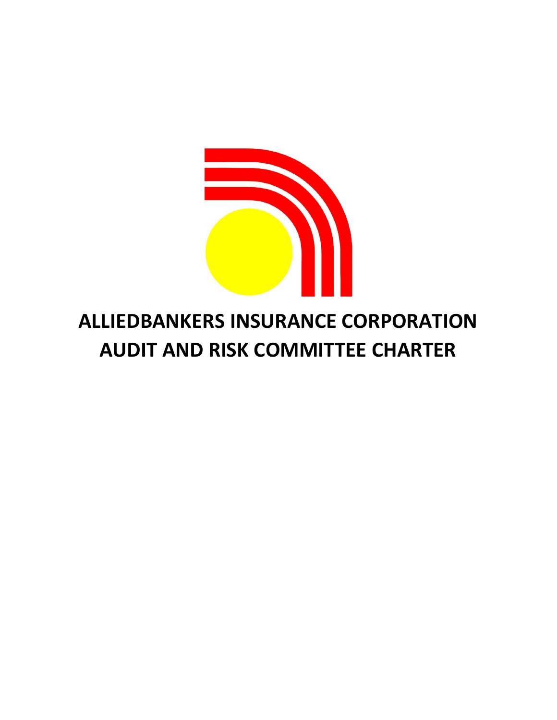

# ALLIEDBANKERS INSURANCE CORPORATION AUDIT AND RISK COMMITTEE CHARTER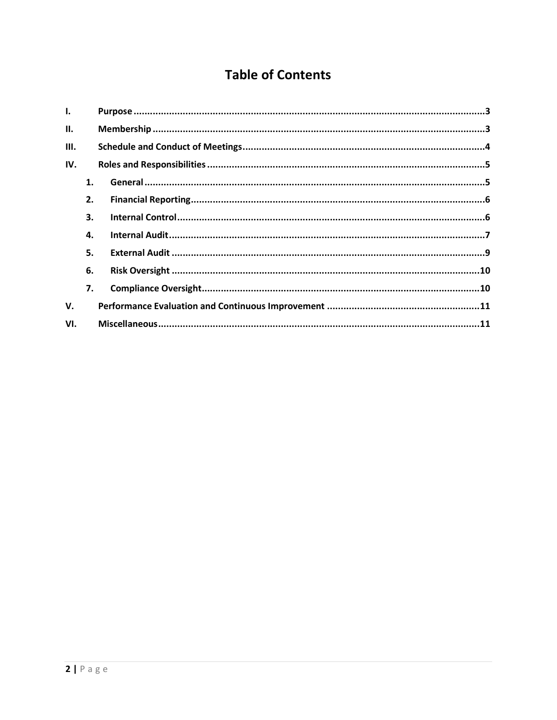# **Table of Contents**

| Ι.   |    |  |
|------|----|--|
| II.  |    |  |
| III. |    |  |
| IV.  |    |  |
|      | 1. |  |
|      | 2. |  |
|      | 3. |  |
|      | 4. |  |
|      | 5. |  |
|      | 6. |  |
|      | 7. |  |
| v.   |    |  |
| VI.  |    |  |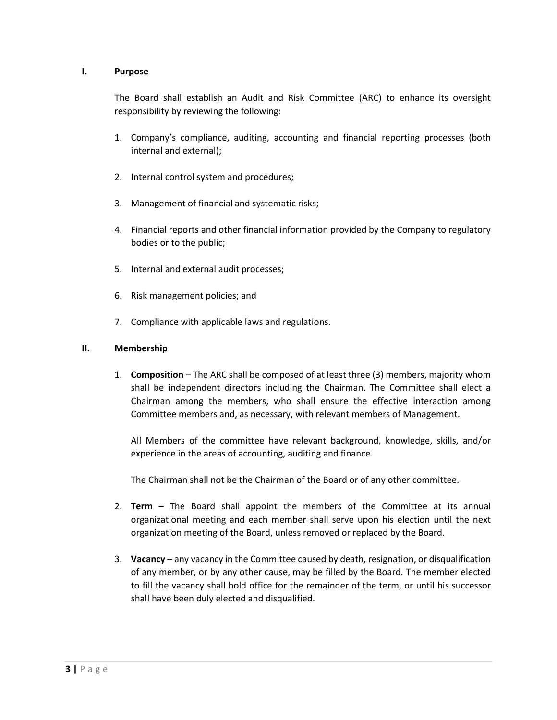#### I. Purpose

The Board shall establish an Audit and Risk Committee (ARC) to enhance its oversight responsibility by reviewing the following:

- 1. Company's compliance, auditing, accounting and financial reporting processes (both internal and external);
- 2. Internal control system and procedures;
- 3. Management of financial and systematic risks;
- 4. Financial reports and other financial information provided by the Company to regulatory bodies or to the public;
- 5. Internal and external audit processes;
- 6. Risk management policies; and
- 7. Compliance with applicable laws and regulations.

#### II. Membership

1. Composition – The ARC shall be composed of at least three (3) members, majority whom shall be independent directors including the Chairman. The Committee shall elect a Chairman among the members, who shall ensure the effective interaction among Committee members and, as necessary, with relevant members of Management.

All Members of the committee have relevant background, knowledge, skills, and/or experience in the areas of accounting, auditing and finance.

The Chairman shall not be the Chairman of the Board or of any other committee.

- 2. Term The Board shall appoint the members of the Committee at its annual organizational meeting and each member shall serve upon his election until the next organization meeting of the Board, unless removed or replaced by the Board.
- 3. Vacancy any vacancy in the Committee caused by death, resignation, or disqualification of any member, or by any other cause, may be filled by the Board. The member elected to fill the vacancy shall hold office for the remainder of the term, or until his successor shall have been duly elected and disqualified.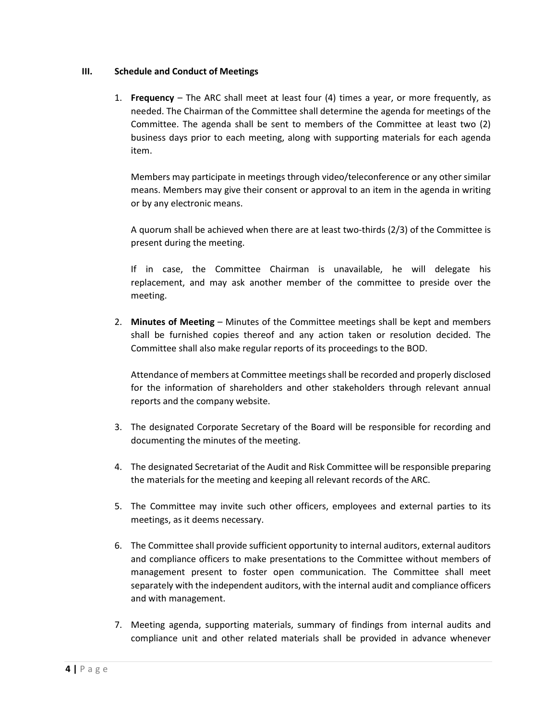#### III. Schedule and Conduct of Meetings

1. Frequency – The ARC shall meet at least four (4) times a year, or more frequently, as needed. The Chairman of the Committee shall determine the agenda for meetings of the Committee. The agenda shall be sent to members of the Committee at least two (2) business days prior to each meeting, along with supporting materials for each agenda item.

Members may participate in meetings through video/teleconference or any other similar means. Members may give their consent or approval to an item in the agenda in writing or by any electronic means.

A quorum shall be achieved when there are at least two-thirds (2/3) of the Committee is present during the meeting.

If in case, the Committee Chairman is unavailable, he will delegate his replacement, and may ask another member of the committee to preside over the meeting.

2. Minutes of Meeting – Minutes of the Committee meetings shall be kept and members shall be furnished copies thereof and any action taken or resolution decided. The Committee shall also make regular reports of its proceedings to the BOD.

Attendance of members at Committee meetings shall be recorded and properly disclosed for the information of shareholders and other stakeholders through relevant annual reports and the company website.

- 3. The designated Corporate Secretary of the Board will be responsible for recording and documenting the minutes of the meeting.
- 4. The designated Secretariat of the Audit and Risk Committee will be responsible preparing the materials for the meeting and keeping all relevant records of the ARC.
- 5. The Committee may invite such other officers, employees and external parties to its meetings, as it deems necessary.
- 6. The Committee shall provide sufficient opportunity to internal auditors, external auditors and compliance officers to make presentations to the Committee without members of management present to foster open communication. The Committee shall meet separately with the independent auditors, with the internal audit and compliance officers and with management.
- 7. Meeting agenda, supporting materials, summary of findings from internal audits and compliance unit and other related materials shall be provided in advance whenever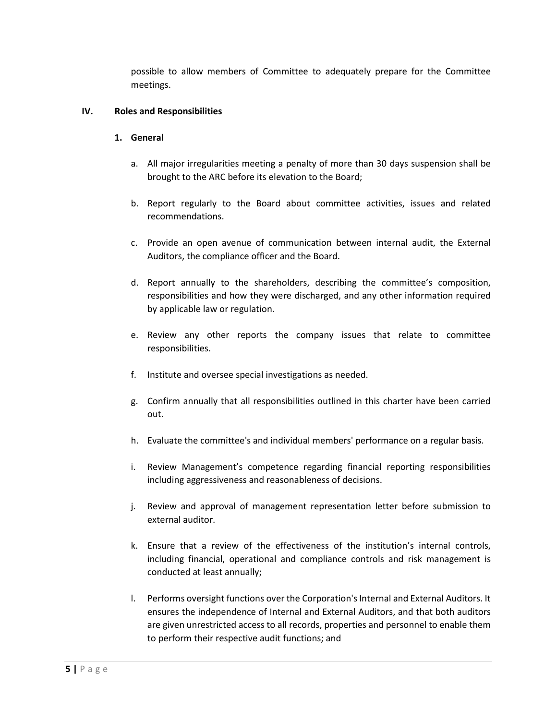possible to allow members of Committee to adequately prepare for the Committee meetings.

#### IV. Roles and Responsibilities

#### 1. General

- a. All major irregularities meeting a penalty of more than 30 days suspension shall be brought to the ARC before its elevation to the Board;
- b. Report regularly to the Board about committee activities, issues and related recommendations.
- c. Provide an open avenue of communication between internal audit, the External Auditors, the compliance officer and the Board.
- d. Report annually to the shareholders, describing the committee's composition, responsibilities and how they were discharged, and any other information required by applicable law or regulation.
- e. Review any other reports the company issues that relate to committee responsibilities.
- f. Institute and oversee special investigations as needed.
- g. Confirm annually that all responsibilities outlined in this charter have been carried out.
- h. Evaluate the committee's and individual members' performance on a regular basis.
- i. Review Management's competence regarding financial reporting responsibilities including aggressiveness and reasonableness of decisions.
- j. Review and approval of management representation letter before submission to external auditor.
- k. Ensure that a review of the effectiveness of the institution's internal controls, including financial, operational and compliance controls and risk management is conducted at least annually;
- l. Performs oversight functions over the Corporation's Internal and External Auditors. It ensures the independence of Internal and External Auditors, and that both auditors are given unrestricted access to all records, properties and personnel to enable them to perform their respective audit functions; and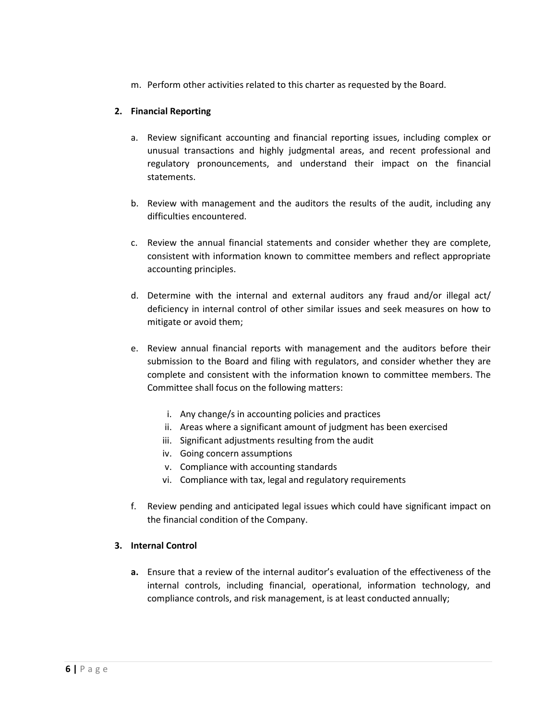m. Perform other activities related to this charter as requested by the Board.

# 2. Financial Reporting

- a. Review significant accounting and financial reporting issues, including complex or unusual transactions and highly judgmental areas, and recent professional and regulatory pronouncements, and understand their impact on the financial statements.
- b. Review with management and the auditors the results of the audit, including any difficulties encountered.
- c. Review the annual financial statements and consider whether they are complete, consistent with information known to committee members and reflect appropriate accounting principles.
- d. Determine with the internal and external auditors any fraud and/or illegal act/ deficiency in internal control of other similar issues and seek measures on how to mitigate or avoid them;
- e. Review annual financial reports with management and the auditors before their submission to the Board and filing with regulators, and consider whether they are complete and consistent with the information known to committee members. The Committee shall focus on the following matters:
	- i. Any change/s in accounting policies and practices
	- ii. Areas where a significant amount of judgment has been exercised
	- iii. Significant adjustments resulting from the audit
	- iv. Going concern assumptions
	- v. Compliance with accounting standards
	- vi. Compliance with tax, legal and regulatory requirements
- f. Review pending and anticipated legal issues which could have significant impact on the financial condition of the Company.

#### 3. Internal Control

a. Ensure that a review of the internal auditor's evaluation of the effectiveness of the internal controls, including financial, operational, information technology, and compliance controls, and risk management, is at least conducted annually;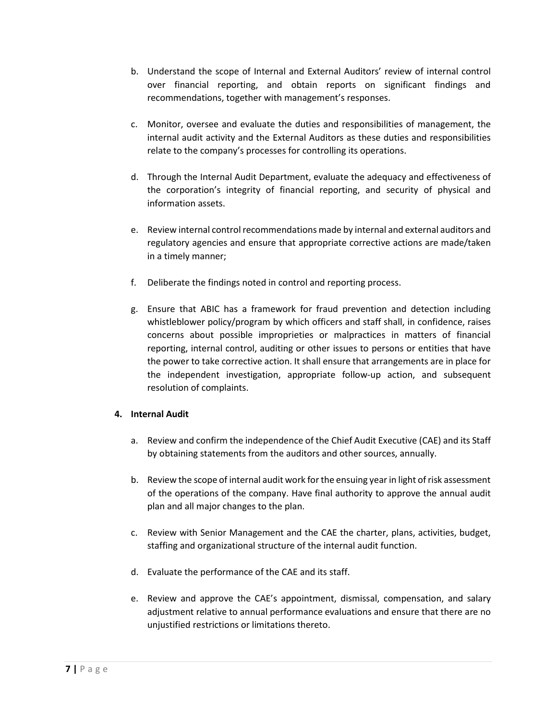- b. Understand the scope of Internal and External Auditors' review of internal control over financial reporting, and obtain reports on significant findings and recommendations, together with management's responses.
- c. Monitor, oversee and evaluate the duties and responsibilities of management, the internal audit activity and the External Auditors as these duties and responsibilities relate to the company's processes for controlling its operations.
- d. Through the Internal Audit Department, evaluate the adequacy and effectiveness of the corporation's integrity of financial reporting, and security of physical and information assets.
- e. Review internal control recommendations made by internal and external auditors and regulatory agencies and ensure that appropriate corrective actions are made/taken in a timely manner;
- f. Deliberate the findings noted in control and reporting process.
- g. Ensure that ABIC has a framework for fraud prevention and detection including whistleblower policy/program by which officers and staff shall, in confidence, raises concerns about possible improprieties or malpractices in matters of financial reporting, internal control, auditing or other issues to persons or entities that have the power to take corrective action. It shall ensure that arrangements are in place for the independent investigation, appropriate follow-up action, and subsequent resolution of complaints.

# 4. Internal Audit

- a. Review and confirm the independence of the Chief Audit Executive (CAE) and its Staff by obtaining statements from the auditors and other sources, annually.
- b. Review the scope of internal audit work for the ensuing year in light of risk assessment of the operations of the company. Have final authority to approve the annual audit plan and all major changes to the plan.
- c. Review with Senior Management and the CAE the charter, plans, activities, budget, staffing and organizational structure of the internal audit function.
- d. Evaluate the performance of the CAE and its staff.
- e. Review and approve the CAE's appointment, dismissal, compensation, and salary adjustment relative to annual performance evaluations and ensure that there are no unjustified restrictions or limitations thereto.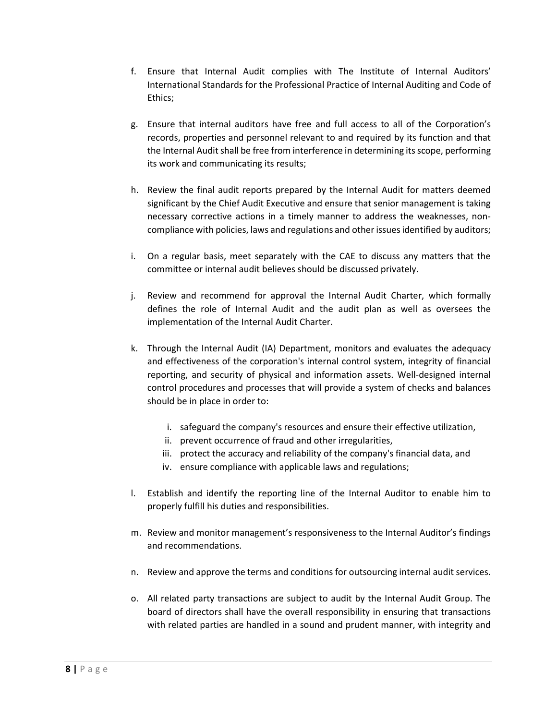- f. Ensure that Internal Audit complies with The Institute of Internal Auditors' International Standards for the Professional Practice of Internal Auditing and Code of Ethics;
- g. Ensure that internal auditors have free and full access to all of the Corporation's records, properties and personnel relevant to and required by its function and that the Internal Audit shall be free from interference in determining its scope, performing its work and communicating its results;
- h. Review the final audit reports prepared by the Internal Audit for matters deemed significant by the Chief Audit Executive and ensure that senior management is taking necessary corrective actions in a timely manner to address the weaknesses, noncompliance with policies, laws and regulations and other issues identified by auditors;
- i. On a regular basis, meet separately with the CAE to discuss any matters that the committee or internal audit believes should be discussed privately.
- j. Review and recommend for approval the Internal Audit Charter, which formally defines the role of Internal Audit and the audit plan as well as oversees the implementation of the Internal Audit Charter.
- k. Through the Internal Audit (IA) Department, monitors and evaluates the adequacy and effectiveness of the corporation's internal control system, integrity of financial reporting, and security of physical and information assets. Well-designed internal control procedures and processes that will provide a system of checks and balances should be in place in order to:
	- i. safeguard the company's resources and ensure their effective utilization,
	- ii. prevent occurrence of fraud and other irregularities,
	- iii. protect the accuracy and reliability of the company's financial data, and
	- iv. ensure compliance with applicable laws and regulations;
- l. Establish and identify the reporting line of the Internal Auditor to enable him to properly fulfill his duties and responsibilities.
- m. Review and monitor management's responsiveness to the Internal Auditor's findings and recommendations.
- n. Review and approve the terms and conditions for outsourcing internal audit services.
- o. All related party transactions are subject to audit by the Internal Audit Group. The board of directors shall have the overall responsibility in ensuring that transactions with related parties are handled in a sound and prudent manner, with integrity and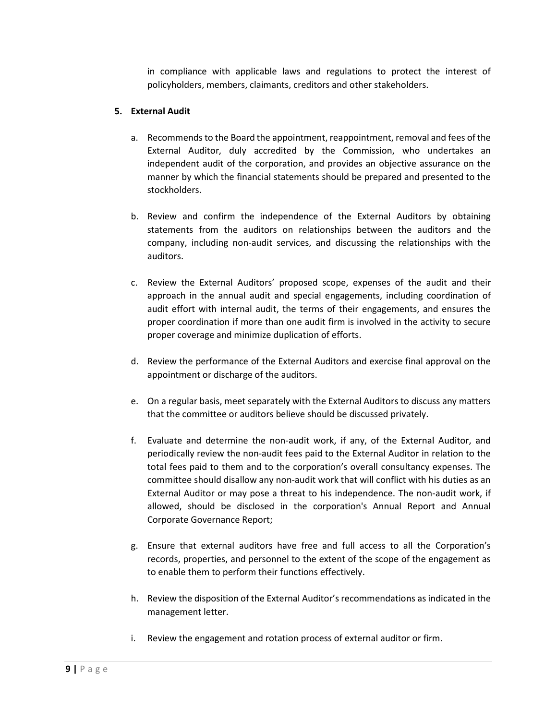in compliance with applicable laws and regulations to protect the interest of policyholders, members, claimants, creditors and other stakeholders.

# 5. External Audit

- a. Recommends to the Board the appointment, reappointment, removal and fees of the External Auditor, duly accredited by the Commission, who undertakes an independent audit of the corporation, and provides an objective assurance on the manner by which the financial statements should be prepared and presented to the stockholders.
- b. Review and confirm the independence of the External Auditors by obtaining statements from the auditors on relationships between the auditors and the company, including non-audit services, and discussing the relationships with the auditors.
- c. Review the External Auditors' proposed scope, expenses of the audit and their approach in the annual audit and special engagements, including coordination of audit effort with internal audit, the terms of their engagements, and ensures the proper coordination if more than one audit firm is involved in the activity to secure proper coverage and minimize duplication of efforts.
- d. Review the performance of the External Auditors and exercise final approval on the appointment or discharge of the auditors.
- e. On a regular basis, meet separately with the External Auditors to discuss any matters that the committee or auditors believe should be discussed privately.
- f. Evaluate and determine the non-audit work, if any, of the External Auditor, and periodically review the non-audit fees paid to the External Auditor in relation to the total fees paid to them and to the corporation's overall consultancy expenses. The committee should disallow any non-audit work that will conflict with his duties as an External Auditor or may pose a threat to his independence. The non-audit work, if allowed, should be disclosed in the corporation's Annual Report and Annual Corporate Governance Report;
- g. Ensure that external auditors have free and full access to all the Corporation's records, properties, and personnel to the extent of the scope of the engagement as to enable them to perform their functions effectively.
- h. Review the disposition of the External Auditor's recommendations as indicated in the management letter.
- i. Review the engagement and rotation process of external auditor or firm.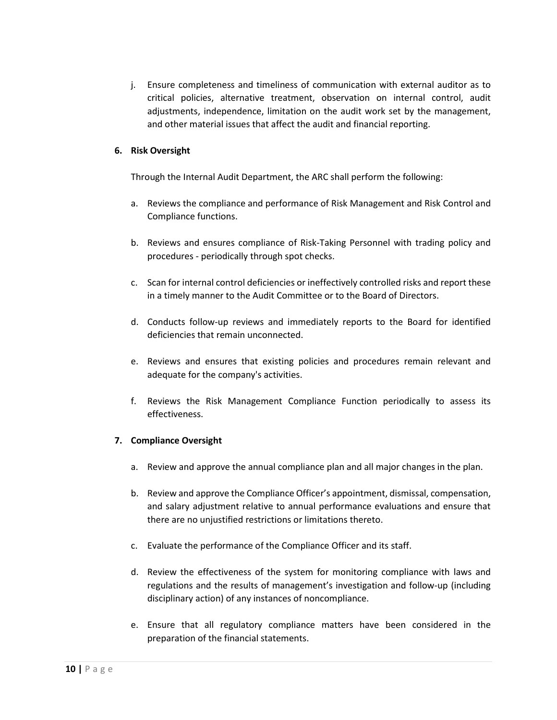j. Ensure completeness and timeliness of communication with external auditor as to critical policies, alternative treatment, observation on internal control, audit adjustments, independence, limitation on the audit work set by the management, and other material issues that affect the audit and financial reporting.

# 6. Risk Oversight

Through the Internal Audit Department, the ARC shall perform the following:

- a. Reviews the compliance and performance of Risk Management and Risk Control and Compliance functions.
- b. Reviews and ensures compliance of Risk-Taking Personnel with trading policy and procedures - periodically through spot checks.
- c. Scan for internal control deficiencies or ineffectively controlled risks and report these in a timely manner to the Audit Committee or to the Board of Directors.
- d. Conducts follow-up reviews and immediately reports to the Board for identified deficiencies that remain unconnected.
- e. Reviews and ensures that existing policies and procedures remain relevant and adequate for the company's activities.
- f. Reviews the Risk Management Compliance Function periodically to assess its effectiveness.

#### 7. Compliance Oversight

- a. Review and approve the annual compliance plan and all major changes in the plan.
- b. Review and approve the Compliance Officer's appointment, dismissal, compensation, and salary adjustment relative to annual performance evaluations and ensure that there are no unjustified restrictions or limitations thereto.
- c. Evaluate the performance of the Compliance Officer and its staff.
- d. Review the effectiveness of the system for monitoring compliance with laws and regulations and the results of management's investigation and follow-up (including disciplinary action) of any instances of noncompliance.
- e. Ensure that all regulatory compliance matters have been considered in the preparation of the financial statements.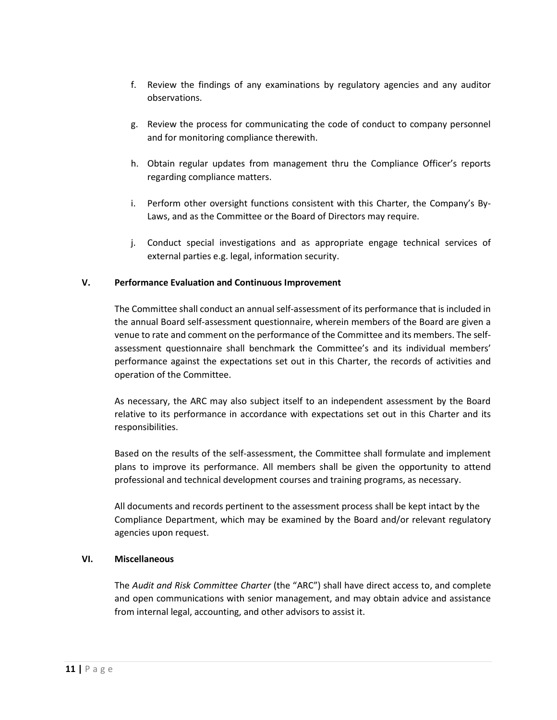- f. Review the findings of any examinations by regulatory agencies and any auditor observations.
- g. Review the process for communicating the code of conduct to company personnel and for monitoring compliance therewith.
- h. Obtain regular updates from management thru the Compliance Officer's reports regarding compliance matters.
- i. Perform other oversight functions consistent with this Charter, the Company's By-Laws, and as the Committee or the Board of Directors may require.
- j. Conduct special investigations and as appropriate engage technical services of external parties e.g. legal, information security.

# V. Performance Evaluation and Continuous Improvement

The Committee shall conduct an annual self-assessment of its performance that is included in the annual Board self-assessment questionnaire, wherein members of the Board are given a venue to rate and comment on the performance of the Committee and its members. The selfassessment questionnaire shall benchmark the Committee's and its individual members' performance against the expectations set out in this Charter, the records of activities and operation of the Committee.

As necessary, the ARC may also subject itself to an independent assessment by the Board relative to its performance in accordance with expectations set out in this Charter and its responsibilities.

Based on the results of the self-assessment, the Committee shall formulate and implement plans to improve its performance. All members shall be given the opportunity to attend professional and technical development courses and training programs, as necessary.

All documents and records pertinent to the assessment process shall be kept intact by the Compliance Department, which may be examined by the Board and/or relevant regulatory agencies upon request.

#### VI. Miscellaneous

The Audit and Risk Committee Charter (the "ARC") shall have direct access to, and complete and open communications with senior management, and may obtain advice and assistance from internal legal, accounting, and other advisors to assist it.